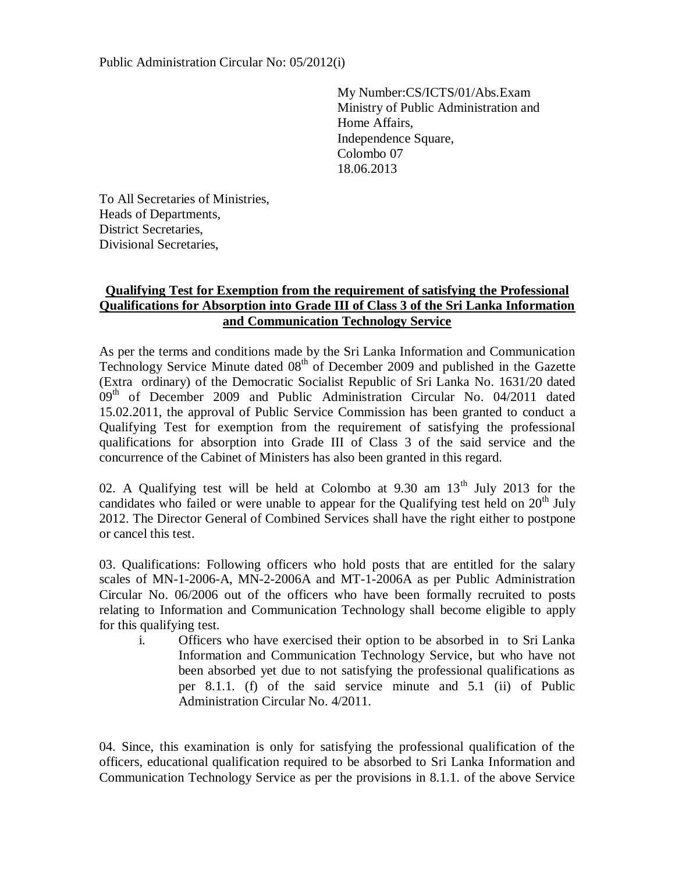My Number:CS/ICTS/01/Abs.Exam Ministry of Public Administration and Home Affairs, Independence Square, Colombo 07 18.06.2013

To All Secretaries of Ministries, Heads of Departments, District Secretaries, Divisional Secretaries,

## **Qualifying Test for Exemption from the requirement of satisfying the Professional Qualifications for Absorption into Grade III of Class 3 of the Sri Lanka Information and Communication Technology Service**

As per the terms and conditions made by the Sri Lanka Information and Communication Technology Service Minute dated  $08<sup>th</sup>$  of December 2009 and published in the Gazette (Extra ordinary) of the Democratic Socialist Republic of Sri Lanka No. 1631/20 dated  $09<sup>th</sup>$  of December 2009 and Public Administration Circular No. 04/2011 dated 15.02.2011, the approval of Public Service Commission has been granted to conduct a Qualifying Test for exemption from the requirement of satisfying the professional qualifications for absorption into Grade III of Class 3 of the said service and the concurrence of the Cabinet of Ministers has also been granted in this regard.

02. A Qualifying test will be held at Colombo at  $9.30$  am  $13<sup>th</sup>$  July 2013 for the candidates who failed or were unable to appear for the Qualifying test held on  $20<sup>th</sup>$  July 2012. The Director General of Combined Services shall have the right either to postpone or cancel this test.

03. Qualifications: Following officers who hold posts that are entitled for the salary scales of MN-1-2006-A, MN-2-2006A and MT-1-2006A as per Public Administration Circular No. 06/2006 out of the officers who have been formally recruited to posts relating to Information and Communication Technology shall become eligible to apply for this qualifying test.

i. Officers who have exercised their option to be absorbed in to Sri Lanka Information and Communication Technology Service, but who have not been absorbed yet due to not satisfying the professional qualifications as per 8.1.1. (f) of the said service minute and 5.1 (ii) of Public Administration Circular No. 4/2011.

04. Since, this examination is only for satisfying the professional qualification of the officers, educational qualification required to be absorbed to Sri Lanka Information and Communication Technology Service as per the provisions in 8.1.1. of the above Service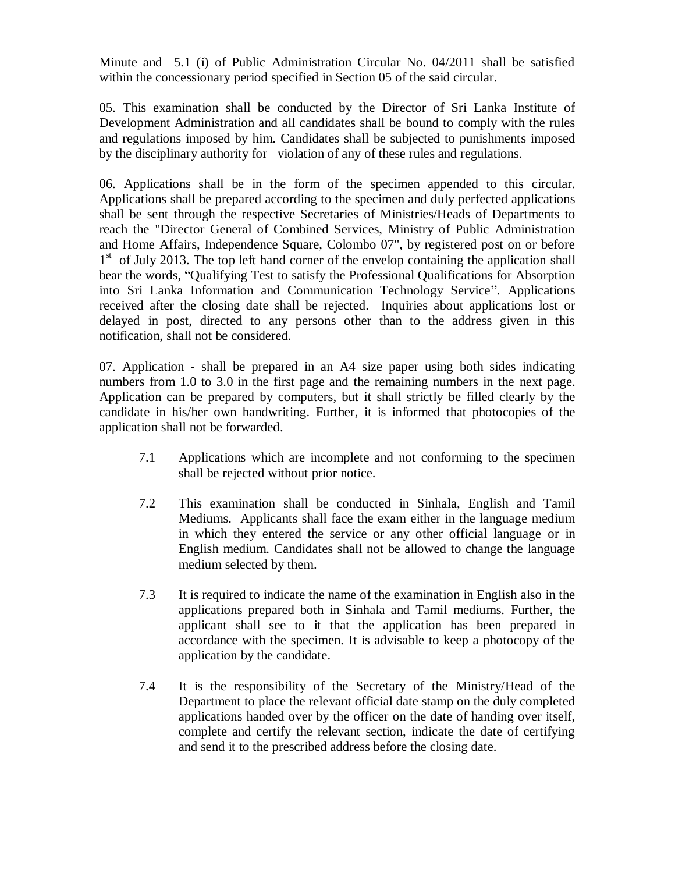Minute and 5.1 (i) of Public Administration Circular No. 04/2011 shall be satisfied within the concessionary period specified in Section 05 of the said circular.

05. This examination shall be conducted by the Director of Sri Lanka Institute of Development Administration and all candidates shall be bound to comply with the rules and regulations imposed by him. Candidates shall be subjected to punishments imposed by the disciplinary authority for violation of any of these rules and regulations.

06. Applications shall be in the form of the specimen appended to this circular. Applications shall be prepared according to the specimen and duly perfected applications shall be sent through the respective Secretaries of Ministries/Heads of Departments to reach the "Director General of Combined Services, Ministry of Public Administration and Home Affairs, Independence Square, Colombo 07", by registered post on or before 1<sup>st</sup> of July 2013. The top left hand corner of the envelop containing the application shall bear the words, "Qualifying Test to satisfy the Professional Qualifications for Absorption into Sri Lanka Information and Communication Technology Service". Applications received after the closing date shall be rejected. Inquiries about applications lost or delayed in post, directed to any persons other than to the address given in this notification, shall not be considered.

07. Application - shall be prepared in an A4 size paper using both sides indicating numbers from 1.0 to 3.0 in the first page and the remaining numbers in the next page. Application can be prepared by computers, but it shall strictly be filled clearly by the candidate in his/her own handwriting. Further, it is informed that photocopies of the application shall not be forwarded.

- 7.1 Applications which are incomplete and not conforming to the specimen shall be rejected without prior notice.
- 7.2 This examination shall be conducted in Sinhala, English and Tamil Mediums. Applicants shall face the exam either in the language medium in which they entered the service or any other official language or in English medium. Candidates shall not be allowed to change the language medium selected by them.
- 7.3 It is required to indicate the name of the examination in English also in the applications prepared both in Sinhala and Tamil mediums. Further, the applicant shall see to it that the application has been prepared in accordance with the specimen. It is advisable to keep a photocopy of the application by the candidate.
- 7.4 It is the responsibility of the Secretary of the Ministry/Head of the Department to place the relevant official date stamp on the duly completed applications handed over by the officer on the date of handing over itself, complete and certify the relevant section, indicate the date of certifying and send it to the prescribed address before the closing date.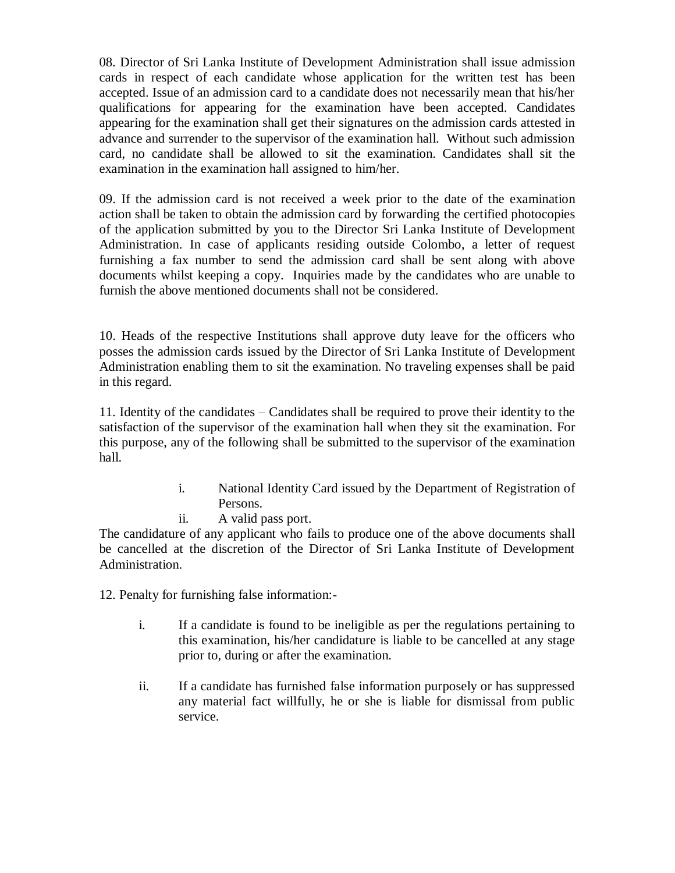08. Director of Sri Lanka Institute of Development Administration shall issue admission cards in respect of each candidate whose application for the written test has been accepted. Issue of an admission card to a candidate does not necessarily mean that his/her qualifications for appearing for the examination have been accepted. Candidates appearing for the examination shall get their signatures on the admission cards attested in advance and surrender to the supervisor of the examination hall. Without such admission card, no candidate shall be allowed to sit the examination. Candidates shall sit the examination in the examination hall assigned to him/her.

09. If the admission card is not received a week prior to the date of the examination action shall be taken to obtain the admission card by forwarding the certified photocopies of the application submitted by you to the Director Sri Lanka Institute of Development Administration. In case of applicants residing outside Colombo, a letter of request furnishing a fax number to send the admission card shall be sent along with above documents whilst keeping a copy. Inquiries made by the candidates who are unable to furnish the above mentioned documents shall not be considered.

10. Heads of the respective Institutions shall approve duty leave for the officers who posses the admission cards issued by the Director of Sri Lanka Institute of Development Administration enabling them to sit the examination. No traveling expenses shall be paid in this regard.

11. Identity of the candidates – Candidates shall be required to prove their identity to the satisfaction of the supervisor of the examination hall when they sit the examination. For this purpose, any of the following shall be submitted to the supervisor of the examination hall.

- i. National Identity Card issued by the Department of Registration of Persons.
- ii. A valid pass port.

The candidature of any applicant who fails to produce one of the above documents shall be cancelled at the discretion of the Director of Sri Lanka Institute of Development Administration.

12. Penalty for furnishing false information:-

- i. If a candidate is found to be ineligible as per the regulations pertaining to this examination, his/her candidature is liable to be cancelled at any stage prior to, during or after the examination.
- ii. If a candidate has furnished false information purposely or has suppressed any material fact willfully, he or she is liable for dismissal from public service.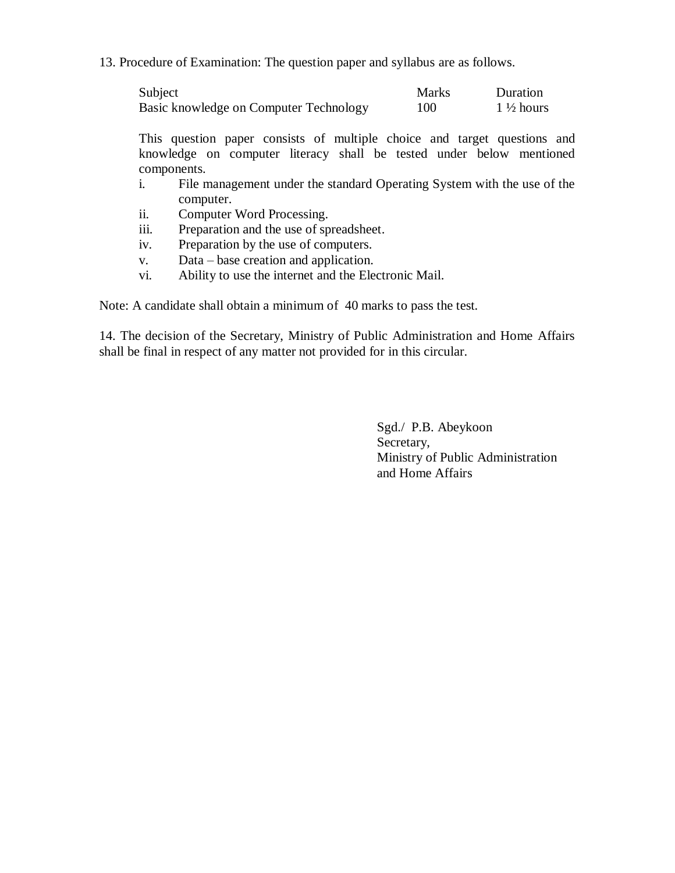13. Procedure of Examination: The question paper and syllabus are as follows.

| Subject                                | <b>Marks</b> | Duration             |
|----------------------------------------|--------------|----------------------|
| Basic knowledge on Computer Technology | 100          | $1\frac{1}{2}$ hours |

This question paper consists of multiple choice and target questions and knowledge on computer literacy shall be tested under below mentioned components.

- i. File management under the standard Operating System with the use of the computer.
- ii. Computer Word Processing.
- iii. Preparation and the use of spreadsheet.
- iv. Preparation by the use of computers.
- v. Data base creation and application.
- vi. Ability to use the internet and the Electronic Mail.

Note: A candidate shall obtain a minimum of 40 marks to pass the test.

14. The decision of the Secretary, Ministry of Public Administration and Home Affairs shall be final in respect of any matter not provided for in this circular.

> Sgd./ P.B. Abeykoon Secretary, Ministry of Public Administration and Home Affairs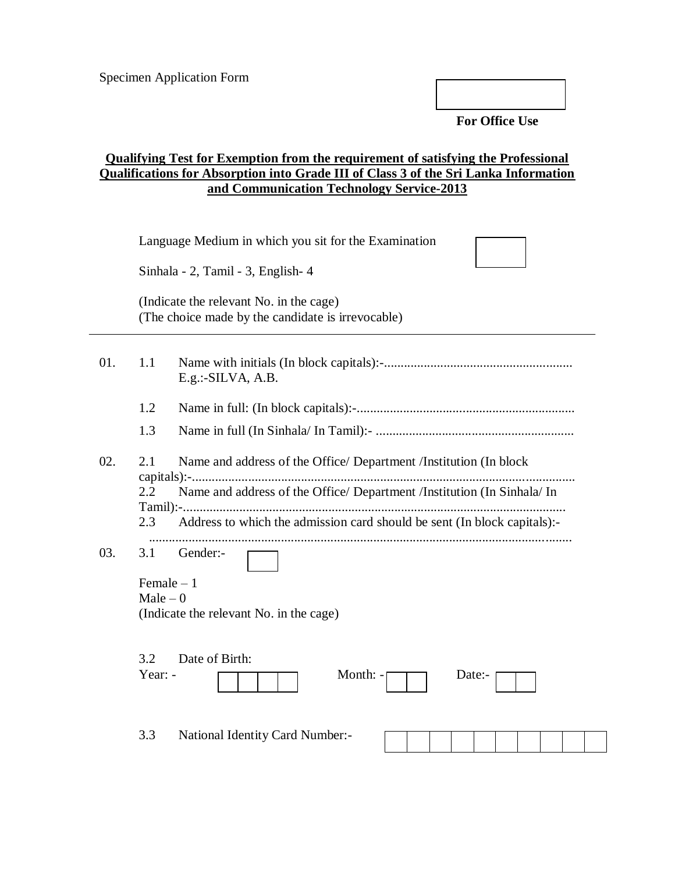**For Office Use** 

## **Qualifying Test for Exemption from the requirement of satisfying the Professional Qualifications for Absorption into Grade III of Class 3 of the Sri Lanka Information and Communication Technology Service-2013**

|     |                                    | Language Medium in which you sit for the Examination                                         |  |  |
|-----|------------------------------------|----------------------------------------------------------------------------------------------|--|--|
|     | Sinhala - 2, Tamil - 3, English- 4 |                                                                                              |  |  |
|     |                                    | (Indicate the relevant No. in the cage)<br>(The choice made by the candidate is irrevocable) |  |  |
| 01. | 1.1                                | E.g.:-SILVA, A.B.                                                                            |  |  |
|     | 1.2                                |                                                                                              |  |  |
|     | 1.3                                |                                                                                              |  |  |
| 02. | 2.1                                | Name and address of the Office/ Department /Institution (In block                            |  |  |
|     | 2.2                                | Name and address of the Office/ Department /Institution (In Sinhala/ In                      |  |  |
|     | 2.3                                | Address to which the admission card should be sent (In block capitals):-                     |  |  |
| 03. | 3.1                                | Gender:-                                                                                     |  |  |
|     | Female $-1$                        |                                                                                              |  |  |
|     | $Male - 0$                         | (Indicate the relevant No. in the cage)                                                      |  |  |
|     | 3.2<br>Year: -                     | Date of Birth:<br>Month: -<br>Date:-                                                         |  |  |
|     | 3.3                                | National Identity Card Number:-                                                              |  |  |